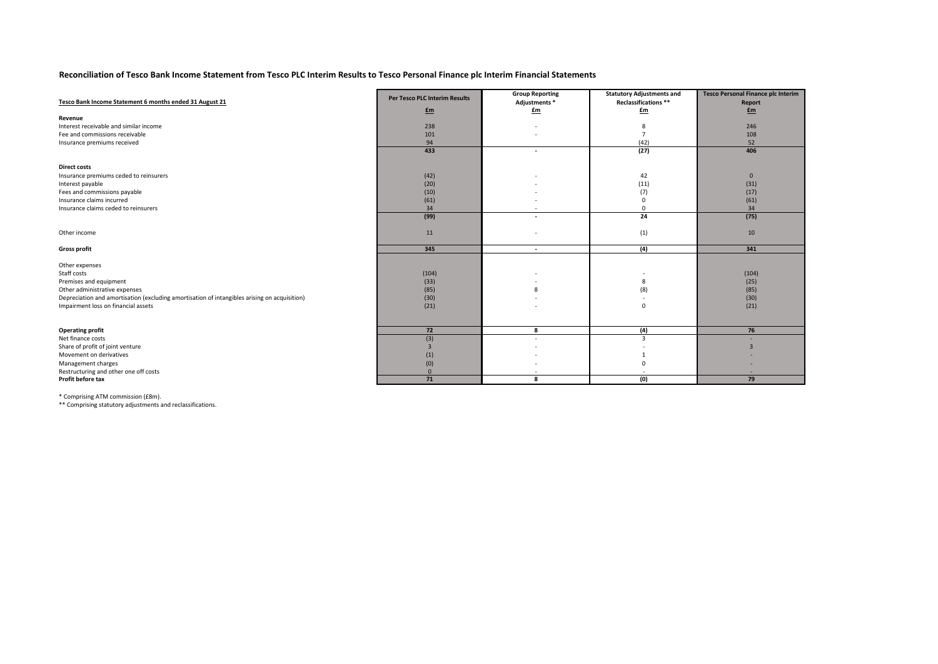## **Reconciliation of Tesco Bank Income Statement from Tesco PLC Interim Results to Tesco Personal Finance plc Interim Financial Statements**

|                                                                                              | <b>Per Tesco PLC Interim Results</b> | <b>Group Reporting</b>   | <b>Statutory Adjustments and</b> | <b>Tesco Personal Finance plc Interim</b> |
|----------------------------------------------------------------------------------------------|--------------------------------------|--------------------------|----------------------------------|-------------------------------------------|
| Tesco Bank Income Statement 6 months ended 31 August 21                                      |                                      | Adjustments *            | Reclassifications **             | Report                                    |
|                                                                                              | $fm$                                 | $f_{\text{m}}$           | £m                               | Em                                        |
| Revenue                                                                                      |                                      |                          |                                  |                                           |
| Interest receivable and similar income                                                       | 238                                  |                          | 8                                | 246                                       |
| Fee and commissions receivable                                                               | 101                                  |                          | $\overline{7}$                   | 108                                       |
| Insurance premiums received                                                                  | 94                                   |                          | (42)                             | 52                                        |
|                                                                                              | 433                                  | $\overline{a}$           | (27)                             | 406                                       |
| <b>Direct costs</b>                                                                          |                                      |                          |                                  |                                           |
| Insurance premiums ceded to reinsurers                                                       | (42)                                 |                          | 42                               | $\mathbf{0}$                              |
| Interest payable                                                                             | (20)                                 |                          | (11)                             | (31)                                      |
| Fees and commissions payable                                                                 | (10)                                 |                          | (7)                              | (17)                                      |
| Insurance claims incurred                                                                    | (61)                                 |                          | $\Omega$                         | (61)                                      |
| Insurance claims ceded to reinsurers                                                         | 34                                   |                          | $\Omega$                         | 34                                        |
|                                                                                              | (99)                                 |                          | 24                               | (75)                                      |
|                                                                                              |                                      |                          |                                  |                                           |
| Other income                                                                                 | 11                                   |                          | (1)                              | 10                                        |
|                                                                                              |                                      |                          |                                  |                                           |
| <b>Gross profit</b>                                                                          | 345                                  | $\overline{\phantom{a}}$ | (4)                              | 341                                       |
|                                                                                              |                                      |                          |                                  |                                           |
| Other expenses                                                                               |                                      |                          |                                  |                                           |
| Staff costs                                                                                  | (104)                                |                          |                                  | (104)                                     |
| Premises and equipment                                                                       | (33)                                 |                          | 8                                | (25)                                      |
| Other administrative expenses                                                                | (85)                                 | 8                        | (8)                              | (85)                                      |
| Depreciation and amortisation (excluding amortisation of intangibles arising on acquisition) | (30)                                 |                          |                                  | (30)                                      |
| Impairment loss on financial assets                                                          | (21)                                 |                          | $\Omega$                         | (21)                                      |
|                                                                                              |                                      |                          |                                  |                                           |
| <b>Operating profit</b>                                                                      | 72                                   | 8                        | (4)                              | 76                                        |
| Net finance costs                                                                            | (3)                                  |                          |                                  |                                           |
| Share of profit of joint venture                                                             |                                      |                          |                                  | $\overline{3}$                            |
| Movement on derivatives                                                                      | (1)                                  |                          |                                  |                                           |
| Management charges                                                                           | (0)                                  |                          | $\Omega$                         |                                           |
| Restructuring and other one off costs                                                        | $\Omega$                             |                          |                                  |                                           |
| Profit before tax                                                                            | 71                                   | 8                        | (0)                              | 79                                        |
|                                                                                              |                                      |                          |                                  |                                           |

\* Comprising ATM commission (£8m).

\*\* Comprising statutory adjustments and reclassifications.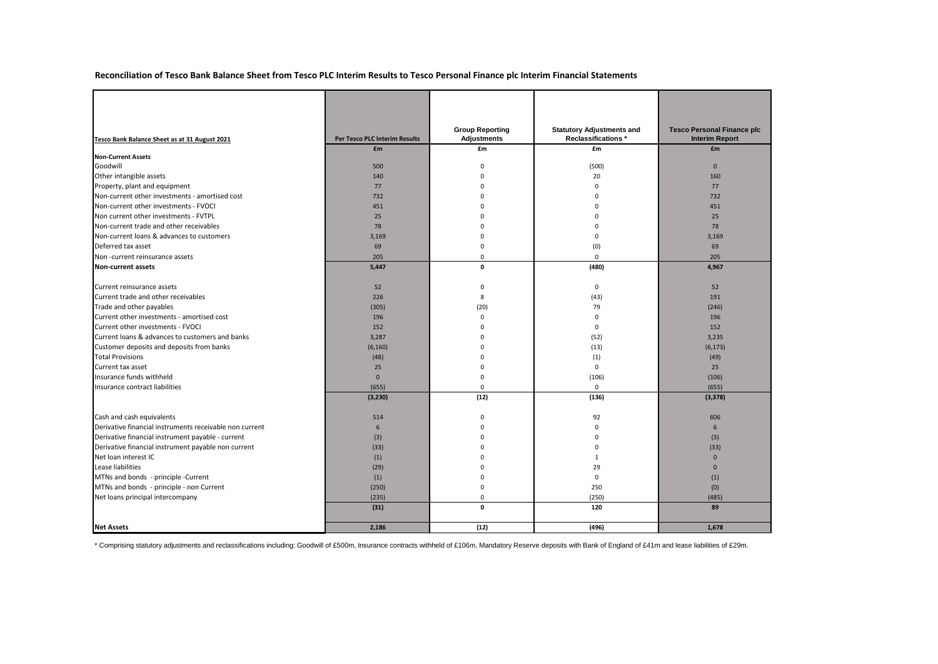**Reconciliation of Tesco Bank Balance Sheet from Tesco PLC Interim Results to Tesco Personal Finance plc Interim Financial Statements**

| Tesco Bank Balance Sheet as at 31 August 2021           | Per Tesco PLC Interim Results | <b>Group Reporting</b><br>Adjustments | <b>Statutory Adjustments and</b><br>Reclassifications <sup>*</sup> | <b>Tesco Personal Finance plc</b><br><b>Interim Report</b> |
|---------------------------------------------------------|-------------------------------|---------------------------------------|--------------------------------------------------------------------|------------------------------------------------------------|
|                                                         | £m                            | £m                                    | £m                                                                 | £ <sub>m</sub>                                             |
| <b>Non-Current Assets</b><br>Goodwill                   | 500                           | $\Omega$                              | (500)                                                              | $\overline{0}$                                             |
| Other intangible assets                                 | 140                           | $\Omega$                              | 20                                                                 | 160                                                        |
| Property, plant and equipment                           | 77                            | $\Omega$                              | $\Omega$                                                           | 77                                                         |
| Non-current other investments - amortised cost          | 732                           | $\Omega$                              | $\Omega$                                                           | 732                                                        |
| Non-current other investments - FVOCI                   | 451                           | $\Omega$                              | $\Omega$                                                           | 451                                                        |
| Non current other investments - FVTPL                   | 25                            | $\Omega$                              | $\Omega$                                                           | 25                                                         |
| Non-current trade and other receivables                 | 78                            | $\Omega$                              | $\Omega$                                                           | 78                                                         |
| Non-current loans & advances to customers               | 3,169                         | $\Omega$                              | $\Omega$                                                           | 3,169                                                      |
| Deferred tax asset                                      | 69                            | $\mathbf 0$                           | (0)                                                                | 69                                                         |
| Non-current reinsurance assets                          | 205                           | $\mathbf 0$                           | $\mathbf 0$                                                        | 205                                                        |
| <b>Non-current assets</b>                               | 5,447                         | $\mathbf{0}$                          | (480)                                                              | 4,967                                                      |
|                                                         |                               |                                       |                                                                    |                                                            |
| Current reinsurance assets                              | 52                            | 0                                     | $\mathbf 0$                                                        | 52                                                         |
| Current trade and other receivables                     | 226                           | 8                                     | (43)                                                               | 191                                                        |
| Trade and other payables                                | (305)                         | (20)                                  | 79                                                                 | (246)                                                      |
| Current other investments - amortised cost              | 196                           | $\mathbf 0$                           | $\mathbf 0$                                                        | 196                                                        |
| Current other investments - FVOCI                       | 152                           | $\Omega$                              | $\mathbf 0$                                                        | 152                                                        |
| Current loans & advances to customers and banks         | 3,287                         | $\Omega$                              | (52)                                                               | 3,235                                                      |
| Customer deposits and deposits from banks               | (6, 160)                      | $\Omega$                              | (13)                                                               | (6, 173)                                                   |
| <b>Total Provisions</b>                                 | (48)                          | $\Omega$                              | (1)                                                                | (49)                                                       |
| Current tax asset                                       | 25                            | $\Omega$                              | $\mathbf 0$                                                        | 25                                                         |
| Insurance funds withheld                                | $\mathbf{0}$                  | $\Omega$                              | (106)                                                              | (106)                                                      |
| Insurance contract liabilities                          | (655)                         | $\mathbf 0$                           | $\mathbf 0$                                                        | (655)                                                      |
|                                                         | (3, 230)                      | (12)                                  | (136)                                                              | (3, 378)                                                   |
| Cash and cash equivalents                               | 514                           |                                       | 92                                                                 |                                                            |
| Derivative financial instruments receivable non current | 6                             | 0<br>$\Omega$                         | $\mathbf 0$                                                        | 606<br>6                                                   |
| Derivative financial instrument payable - current       | (3)                           | $\Omega$                              | $\mathbf 0$                                                        | (3)                                                        |
| Derivative financial instrument payable non current     | (33)                          | $\Omega$                              | $\Omega$                                                           | (33)                                                       |
| Net loan interest IC                                    |                               | $\Omega$                              | $\mathbf{1}$                                                       | $\Omega$                                                   |
| Lease liabilities                                       | (1)                           | $\Omega$                              | 29                                                                 | $\Omega$                                                   |
| MTNs and bonds - principle -Current                     | (29)<br>(1)                   | $\Omega$                              | $\mathbf 0$                                                        | (1)                                                        |
|                                                         |                               | $\mathbf 0$                           | 250                                                                |                                                            |
| MTNs and bonds - principle - non Current                | (250)                         |                                       |                                                                    | (0)                                                        |
| Net loans principal intercompany                        | (235)                         | 0<br>$\mathbf{0}$                     | (250)<br>120                                                       | (485)<br>89                                                |
|                                                         | (31)                          |                                       |                                                                    |                                                            |
| <b>Net Assets</b>                                       | 2.186                         | (12)                                  | (496)                                                              | 1,678                                                      |

\* Comprising statutory adjustments and reclassifications including: Goodwill of £500m, Insurance contracts withheld of £106m, Mandatory Reserve deposits with Bank of England of £41m and lease liabilities of £29m.